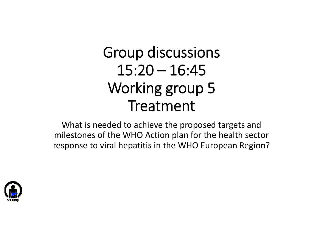# Group discussions  $15:20 - 16:45$ Working group 5 Treatment

What is needed to achieve the proposed targets and milestones of the WHO Action plan for the health sector response to viral hepatitis in the WHO European Region?

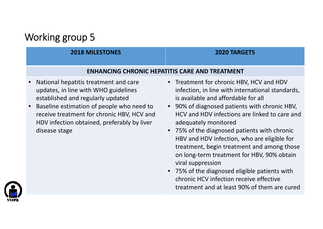## Working group 5

### **2018 MILESTONES 2020 TARGETS**

#### **ENHANCING CHRONIC HEPATITIS CARE AND TREATMENT**

- • National hepatitis treatment and care updates, in line with WHO guidelines established and regularly updated
- •• Baseline estimation of people who need to receive treatment for chronic HBV, HCV and HDV infection obtained, preferably by liver disease stage
- Treatment for chronic HBV, HCV and HDV infection, in line with international standards, is available and affordable for all
- 90% of diagnosed patients with chronic HBV, HCV and HDV infections are linked to care and adequately monitored
- 75% of the diagnosed patients with chronic HBV and HDV infection, who are eligible for treatment, begin treatment and among those on long‐term treatment for HBV, 90% obtain viral suppression
- 75% of the diagnosed eligible patients with chronic HCV infection receive effective treatment and at least 90% of them are cured

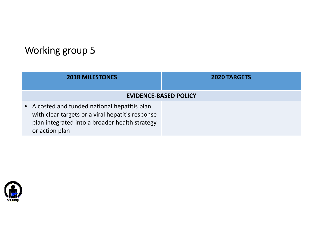## Working group 5

| <b>2018 MILESTONES</b>                                                                                                                                                | <b>2020 TARGETS</b> |
|-----------------------------------------------------------------------------------------------------------------------------------------------------------------------|---------------------|
| <b>EVIDENCE-BASED POLICY</b>                                                                                                                                          |                     |
| • A costed and funded national hepatitis plan<br>with clear targets or a viral hepatitis response<br>plan integrated into a broader health strategy<br>or action plan |                     |

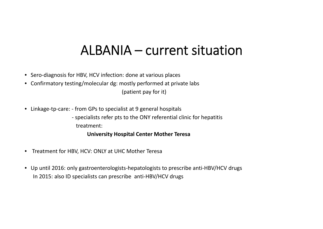# ALBANIA – current situation

- Sero‐diagnosis for HBV, HCV infection: done at various places
- Confirmatory testing/molecular dg: mostly performed at private labs

(patient pay for it)

• Linkage‐tp‐care: ‐ from GPs to specialist at 9 general hospitals

‐ specialists refer pts to the ONY referential clinic for hepatitis treatment:

**University Hospital Center Mother Teresa**

- $\bullet$ Treatment for HBV, HCV: ONLY at UHC Mother Teresa
- Up until 2016: only gastroenterologists‐hepatologists to prescribe anti‐HBV/HCV drugs In 2015: also ID specialists can prescribe anti‐HBV/HCV drugs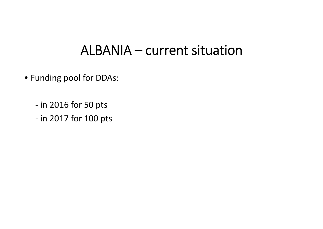# ALBANIA – current situation

- Funding pool for DDAs:
	- ‐ in 2016 for 50 pts
	- ‐ in 2017 for 100 pts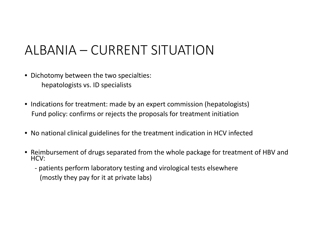# ALBANIA – CURRENT SITUATION

- Dichotomy between the two specialties: hepatologists vs. ID specialists
- Indications for treatment: made by an expert commission (hepatologists) Fund policy: confirms or rejects the proposals for treatment initiation
- No national clinical guidelines for the treatment indication in HCV infected
- Reimbursement of drugs separated from the whole package for treatment of HBV and HCV:
	- ‐ patients perform laboratory testing and virological tests elsewhere (mostly they pay for it at private labs)